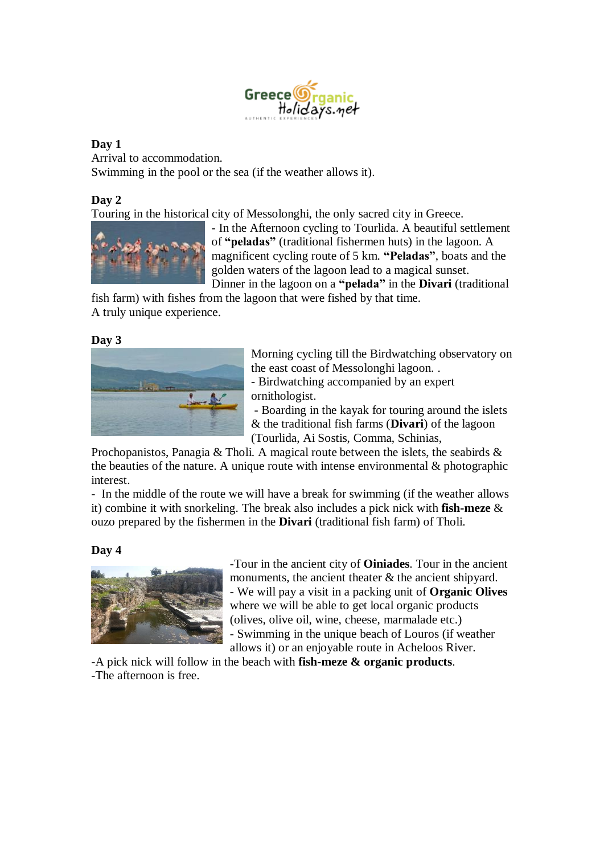

## **Day 1**

Arrival to accommodation. Swimming in the pool or the sea (if the weather allows it).

# **Day 2**

Touring in the historical city of Messolonghi, the only sacred city in Greece.



- In the Afternoon cycling to Tourlida. A beautiful settlement of **"peladas"** (traditional fishermen huts) in the lagoon. A magnificent cycling route of 5 km. **"Peladas"**, boats and the golden waters of the lagoon lead to a magical sunset. Dinner in the lagoon on a **"pelada"** in the **Divari** (traditional

fish farm) with fishes from the lagoon that were fished by that time. A truly unique experience.

### **Day 3**



Morning cycling till the Birdwatching observatory on the east coast of Messolonghi lagoon. .

- Birdwatching accompanied by an expert ornithologist.

- Boarding in the kayak for touring around the islets & the traditional fish farms (**Divari**) of the lagoon (Tourlida, Ai Sostis, Comma, Schinias,

Prochopanistos, Panagia & Tholi. A magical route between the islets, the seabirds & the beauties of the nature. A unique route with intense environmental  $\&$  photographic interest.

- In the middle of the route we will have a break for swimming (if the weather allows it) combine it with snorkeling. The break also includes a pick nick with **fish-meze** & ouzo prepared by the fishermen in the **Divari** (traditional fish farm) of Tholi.

# **Day 4**



-Tour in the ancient city of **Oiniades**. Tour in the ancient monuments, the ancient theater & the ancient shipyard. - We will pay a visit in a packing unit of **Organic Olives** where we will be able to get local organic products (olives, olive oil, wine, cheese, marmalade etc.) - Swimming in the unique beach of Louros (if weather

allows it) or an enjoyable route in Acheloos River.

-A pick nick will follow in the beach with **fish-meze & organic products**. -The afternoon is free.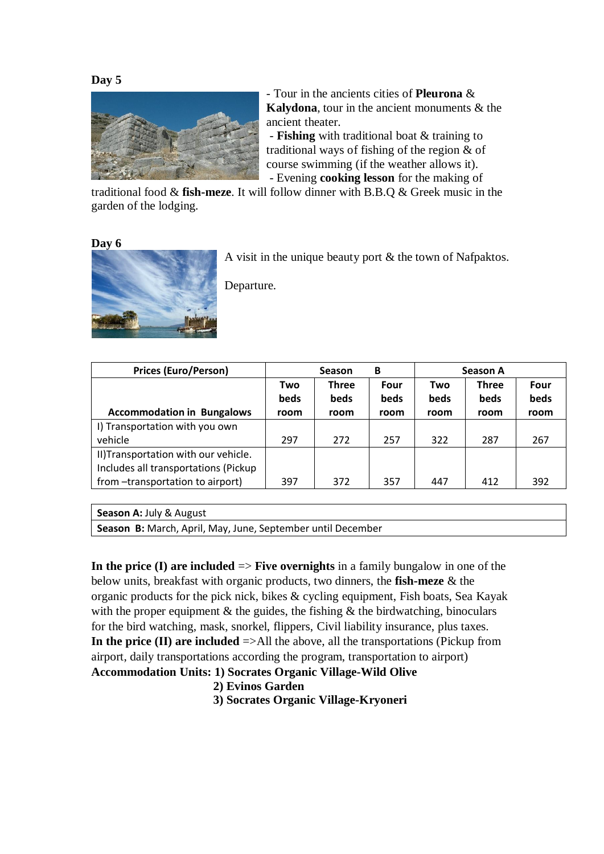

- Tour in the ancients cities of **Pleurona** & **Kalydona**, tour in the ancient monuments & the ancient theater.

- **Fishing** with traditional boat & training to traditional ways of fishing of the region & of course swimming (if the weather allows it). - Evening **cooking lesson** for the making of

traditional food & **fish-meze**. It will follow dinner with B.B.Q & Greek music in the garden of the lodging.

#### **Day 6**



A visit in the unique beauty port & the town of Nafpaktos.

Departure.

| <b>Prices (Euro/Person)</b>          |             | B<br><b>Season</b> |             |             | Season A     |      |  |
|--------------------------------------|-------------|--------------------|-------------|-------------|--------------|------|--|
|                                      | Two         | <b>Three</b>       | Four        | Two         | <b>Three</b> | Four |  |
|                                      | <b>beds</b> | <b>beds</b>        | <b>beds</b> | <b>beds</b> | <b>beds</b>  | beds |  |
| <b>Accommodation in Bungalows</b>    | room        | room               | room        | room        | room         | room |  |
| I) Transportation with you own       |             |                    |             |             |              |      |  |
| vehicle                              | 297         | 272                | 257         | 322         | 287          | 267  |  |
| II) Transportation with our vehicle. |             |                    |             |             |              |      |  |
| Includes all transportations (Pickup |             |                    |             |             |              |      |  |
| from -transportation to airport)     | 397         | 372                | 357         | 447         | 412          | 392  |  |

**Season Α:** July & August

**Season Β:** March, April, May, June, September until December

**In the price (I) are included**  $\Rightarrow$  **<b>Five overnights** in a family bungalow in one of the below units, breakfast with organic products, two dinners, the **fish-meze** & the organic products for the pick nick, bikes & cycling equipment, Fish boats, Sea Kayak with the proper equipment  $\&$  the guides, the fishing  $\&$  the birdwatching, binoculars for the bird watching, mask, snorkel, flippers, Civil liability insurance, plus taxes. **In the price (ΙΙ) are included** =>All the above, all the transportations (Pickup from airport, daily transportations according the program, transportation to airport) **Accommodation Units: 1) Socrates Organic Village-Wild Olive**

# **2) Evinos Garden**

 **3) Socrates Organic Village-Kryoneri**

#### **Day 5**